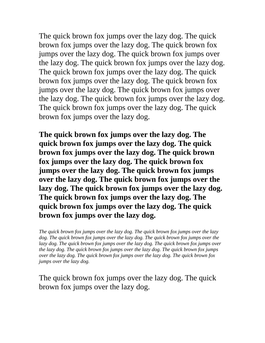The quick brown fox jumps over the lazy dog. The quick brown fox jumps over the lazy dog. The quick brown fox jumps over the lazy dog. The quick brown fox jumps over the lazy dog. The quick brown fox jumps over the lazy dog. The quick brown fox jumps over the lazy dog. The quick brown fox jumps over the lazy dog. The quick brown fox jumps over the lazy dog. The quick brown fox jumps over the lazy dog. The quick brown fox jumps over the lazy dog. The quick brown fox jumps over the lazy dog. The quick brown fox jumps over the lazy dog.

**The quick brown fox jumps over the lazy dog. The quick brown fox jumps over the lazy dog. The quick brown fox jumps over the lazy dog. The quick brown fox jumps over the lazy dog. The quick brown fox jumps over the lazy dog. The quick brown fox jumps over the lazy dog. The quick brown fox jumps over the lazy dog. The quick brown fox jumps over the lazy dog. The quick brown fox jumps over the lazy dog. The quick brown fox jumps over the lazy dog. The quick brown fox jumps over the lazy dog.**

*The quick brown fox jumps over the lazy dog. The quick brown fox jumps over the lazy*  dog. The quick brown fox jumps over the lazy dog. The quick brown fox jumps over the lazy dog. The quick brown fox jumps over the lazy dog. The quick brown fox jumps over *the lazy dog. The quick brown fox jumps over the lazy dog. The quick brown fox jumps over the lazy dog. The quick brown fox jumps over the lazy dog. The quick brown fox jumps over the lazy dog.*

The quick brown fox jumps over the lazy dog. The quick brown fox jumps over the lazy dog.